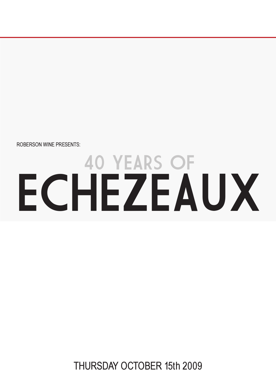ROBERSON WINE PRESENTS:

# 40 YEARS OF ECHEZEAUX

THURSDAY OCTOBER 15th 2009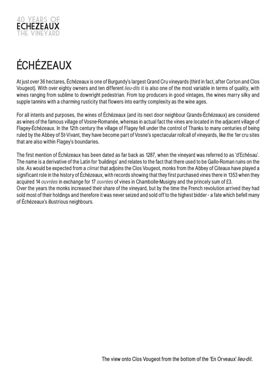

## **ÉCHÉZEAUX**

At just over 36 hectares, Échézeaux is one of Burgundy's largest Grand Cru vineyards (third in fact, after Corton and Clos Vougeot). With over eighty owners and ten different lieu-dits it is also one of the most variable in terms of ouality, with wines ranging from sublime to downright pedestrian. From top producers in good vintages, the wines marry silky and supple tannins with a charming rusticity that flowers into earthy complexity as the wine ages.

For all intents and purposes, the wines of Échézeaux (and its next door neighbour Grands-Échézeaux) are considered as wines of the famous village of Vosne-Romanée, whereas in actual fact the vines are located in the adjacent village of Flagey-Échézeaux. In the 12th century the village of Flagey fell under the control of Thanks to many centuries of being ruled by the Abbey of St-Vivant, they have become part of Vosne's spectacular rollcall of vineyards, like the 1er cru sites that are also within Flagey's boundaries.

The first mention of Échézeaux has been dated as far back as 1287, when the vineyard was referred to as 'd'Echésau'. The name is a derivative of the Latin for 'buildings' and relates to the fact that there used to be Gallo-Roman ruins on the site. As would be expected from a *climat* that adjoins the Clos Vougeot, monks from the Abbey of Citeaux have played a significant role in the history of Échézeaux, with records showing that they first purchased vines there in 1353 when they acquired 14 ouvrées in exchange for 17 ouvrées of vines in Chambolle-Musigny and the princely sum of £3. Over the years the monks increased their share of the vineyard, but by the time the French revolution arrived they had sold most of their holdings and therefore it was never seized and sold off to the highest bidder - a fate which befell many

of Échézeaux's illustrious neighbours.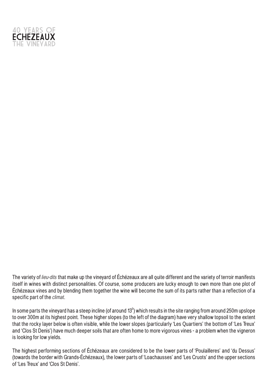

The variety of lieu-dits that make up the vineyard of Échézeaux are all quite different and the variety of terroir manifests itself in wines with distinct personalities. Of course, some producers are lucky enough to own more than one plot of Échézeaux vines and by blending them together the wine will become the sum of its parts rather than a reflection of a specific part of the *climat*.

In some parts the vineyard has a steep incline (of around 13 $^{\circ}$ ) which results in the site ranging from around 250m upslope to over 300m at its highest point. These higher slopes (to the left of the diagram) have very shallow topsoil to the extent that the rocky layer below is often visible, while the lower slopes (particularly 'Les Quartiers' the bottom of 'Les Treux' and 'Clos St Denis') have much deeper soils that are often home to more vigorous vines - a problem when the vigneron is looking for low yields.

The highest performing sections of Échézeaux are considered to be the lower parts of 'Poulailleres' and 'du Dessus' (towards the border with Grands-Échézeaux), the lower parts of 'Loachausses' and 'Les Cruots' and the upper sections of 'Les Treux' and 'Clos St Denis'.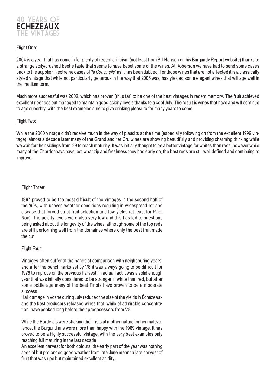

#### **Flight One:**

**2004** is a year that has come in for plenty of recent criticism (not least from Bill Nanson on his Burgundy Report website) thanks to a strange soily/crushed-beetle taste that seems to have beset some of the wines. At Roberson we have had to send some cases back to the supplier in extreme cases of 'la Coccinelle' as it has been dubbed. For those wines that are not affected it is a classically styled vintage that while not particularly generous in the way that 2005 was, has yielded some elegant wines that will age well in the medium-term.

Much more successful was **2002**, which has proven (thus far) to be one of the best vintages in recent memory. The fruit achieved excellent ripeness but managed to maintain good acidity levels thanks to a cool July. The result is wines that have and will continue to age superbly, with the best examples sure to give drinking pleasure for many years to come.

#### Flight Two:

While the 2000 vintage didn't receive much in the way of plaudits at the time (especially following on from the excellent 1999 vintage), almost a decade later many of the Grand and 1er Cru wines are showing beautifully and providing charming drinking while we wait for their siblings from '99 to reach maturity. It was initially thought to be a better vintage for whites than reds, however while many of the Chardonnays have lost what zip and freshness they had early on, the best reds are still well defined and continuing to improve.

#### **Flight Three:**

**1997** proved to be the most difficult of the vintages in the second half of the '90s, with uneven weather conditions resulting in widespread rot and disease that forced strict fruit selection and low yields (at least for Pinot Noir). The acidity levels were also very low and this has led to questions being asked about the longevity of the wines, although some of the top reds are still performing well from the domaines where only the best fruit made the cut.

#### Flight Four:

Vintages often suffer at the hands of comparison with neighbouring years, and after the benchmarks set by '78 it was always going to be difficult for **1979** to improve on the previous harvest. In actual fact it was a solid enough year that was initially considered to be stronger in white than red, but after some bottle age many of the best Pinots have proven to be a moderate success.

Hail damage in Vosne during July reduced the size of the yields in Échézeaux and the best producers released wines that, while of admirable concentration, have peaked long before their predecessors from '78.

While the Bordelais were shaking their fists at mother nature for her malevolence, the Burgundians were more than happy with the **1969** vintage. It has proved to be a highly successful vintage, with the very best examples only reaching full maturing in the last decade.

An excellent harvest for both colours, the early part of the year was nothing special but prolonged good weather from late June meant a late harvest of fruit that was ripe but maintained excellent acidity.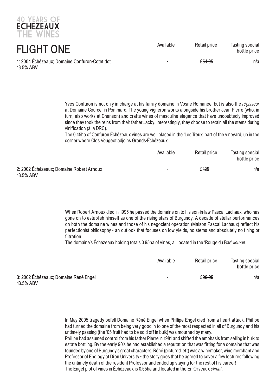

40 YEARS OF

Yves Confuron is not only in charge at his family domaine in Vosne-Romanée, but is also the *régisseur* at Domaine Courcel in Pommard. The young vigneron works alongside his brother Jean-Pierre (who, in turn, also works at Chanson) and crafts wines of masculine elegance that have undoubtedly improved since they took the reins from their father Jacky. Interestingly, they choose to retain all the stems during vinification (à la DRC).

The 0.45ha of Confuron Échézeaux vines are well placed in the 'Les Treux' part of the vineyard, up in the corner where Clos Vougeot adjoins Grands-Échézeaux.

|                                                       | Available                | Retail price     | Tasting special<br>bottle price |
|-------------------------------------------------------|--------------------------|------------------|---------------------------------|
| 2: 2002 Échézeaux; Domaine Robert Arnoux<br>13.5% ABV | $\overline{\phantom{0}}$ | £ <del>125</del> | n/a                             |

When Robert Arnoux died in 1995 he passed the domaine on to his son-in-law Pascal Lachaux, who has gone on to establish himself as one of the rising stars of Burgundy. A decade of stellar performances on both the domaine wines and those of his negocient operation (Maison Pascal Lachaux) reflect his perfectionist philosophy - an outlook that focuses on low yields, no stems and absolutely no fining or filtration.

The domaine's Échézeaux holding totals 0.95ha of vines, all located in the 'Rouge du Bas' lieu-dit.

|                                                    | Available      | Retail price | Tasting special<br>bottle price |
|----------------------------------------------------|----------------|--------------|---------------------------------|
| 3: 2002 Échézeaux; Domaine Réné Engel<br>13.5% ABV | $\blacksquare$ | £99.95       | n/a                             |

In May 2005 tragedy befell Domaine Réné Engel when Phillipe Engel died from a heart attack. Phillipe had turned the domaine from being very good in to one of the most respected in all of Burgundy and his untimely passing (the '05 fruit had to be sold off in bulk) was mourned by many.

Phillipe had assumed control from his father Pierre in 1981 and shifted the emphasis from selling in bulk to estate bottling. By the early 90's he had established a reputation that was fitting for a domaine that was founded by one of Burgundy's great characters. Réné (pictured left) was a winemaker, wine merchant and Professor of Enology at Dijon University - the story goes that he agreed to cover a few lectures following the untimely death of the resident Professor and ended up staying for the rest of his career! The Engel plot of vines in Échézeaux is 0.55ha and located in the En Orveaux *climat*.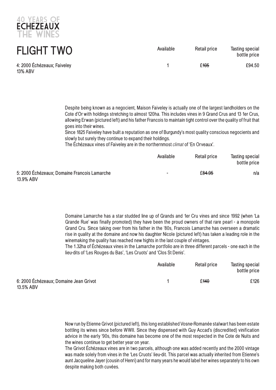

| <b>FLIGHT TWO</b>                      | Available | <b>Retail price</b> | <b>Tasting special</b><br>bottle price |
|----------------------------------------|-----------|---------------------|----------------------------------------|
| 4: 2000 Échézeaux; Faiveley<br>13% ABV |           | £ <del>105</del>    | £94.50                                 |

Despite being known as a negocient, Maison Faiveley is actually one of the largest landholders on the Cote d'Or with holdings stretching to almost 120ha. This includes vines in 9 Grand Crus and 13 1er Crus, allowing Erwan (pictured left) and his father Francois to maintain tight control over the quality of fruit that goes into their wines.

Since 1825 Faiveley have built a reputation as one of Burgundy's most quality conscious negocients and slowly but surely they continue to expand their holdings.

The Échézeaux vines of Faiveley are in the northernmost *climat* of 'En Orveaux'.

|                                                           | Available                | <b>Retail price</b> | <b>Tasting special</b><br>bottle price |
|-----------------------------------------------------------|--------------------------|---------------------|----------------------------------------|
| 5: 2000 Échézeaux; Domaine Francois Lamarche<br>13.9% ABV | $\overline{\phantom{a}}$ | £ <del>84.95</del>  | n/a                                    |

Domaine Lamarche has a star studded line up of Grands and 1er Cru vines and since 1992 (when 'La Grande Rue' was finally promoted) they have been the proud owners of that rare pearl - a monopole Grand Cru. Since taking over from his father in the '80s, Francois Lamarche has overseen a dramatic rise in quality at the domaine and now his daughter Nicole (pictured left) has taken a leading role in the winemaking the quality has reached new hights in the last couple of vintages.

The 1.32ha of Échézeaux vines in the Lamarche portfolio are in three different parcels - one each in the lieu-dits of 'Les Rouges du Bas', 'Les Cruots' and 'Clos St Denis'.

|                                                     | Available | <b>Retail price</b> | <b>Tasting special</b><br>bottle price |
|-----------------------------------------------------|-----------|---------------------|----------------------------------------|
| 6: 2000 Échézeaux; Domaine Jean Grivot<br>13.5% ABV |           | £ <del>140</del>    | £126                                   |

Now run by Etienne Grivot (pictured left), this long established Vosne-Romanée stalwart has been estate bottling its wines since before WWII. Since they dispensed with Guy Accad's (discredited) vinification advice in the early '90s, this domaine has become one of the most respected in the Cote de Nuits and the wines continue to get better year on year.

The Grivot Échézeaux vines are in two parcels, although one was added recently and the 2000 vintage was made solely from vines in the 'Les Cruots' lieu-dit. This parcel was actually inherited from Etienne's aunt Jacqueline Jayer (cousin of Henri) and for many years he would label her wines separately to his own despite making both cuvées.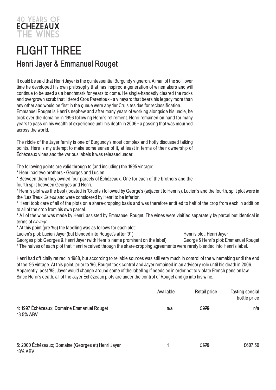

### **FLIGHT THREE Henri Jayer & Emmanuel Rouget**

It could be said that Henri Jayer is the ouintessential Burgundy vigneron. A man of the soil, over time he developed his own philosophy that has inspired a generation of winemakers and will continue to be used as a benchmark for years to come. He single-handedly cleared the rocks and overgrown scrub that littered Cros Parentoux - a vineyard that bears his legacy more than any other and would be first in the oueue were any 1er Cru sites due for reclassification. Emmanuel Rouget is Henri's nephew and after many years of working alongside his uncle, he took over the domaine in 1996 following Henri's retirement. Henri remained on hand for many years to pass on his wealth of experience until his death in 2006 - a passing that was mourned across the world.

The riddle of the Jayer family is one of Burgundy's most complex and hotly discussed talking points. Here is my attempt to make some sense of it, at least in terms of their ownership of Échézeaux vines and the various labels it was released under:

The following points are valid through to (and including) the 1995 vintage:

\* Henri had two brothers - Georges and Lucien.

\* Between them they owned four parcels of Échézeaux. One for each of the brothers and the fourth split between Georges and Henri.

\* Henri's plot was the best (located in 'Cruots') followed by George's (adjacent to Henri's). Lucien's and the fourth, split plot were in the 'Les Treux' lieu-dit and were considered by Henri to be inferior.

\* Henri took care of all of the plots on a share-cropping basis and was therefore entitled to half of the crop from each in addition to all of the crop from his own parcel.

\* All of the wine was made by Henri, assisted by Emmanuel Rouget. The wines were vinified separately by parcel but identical in terms of élevage.

\* At this point (pre '95) the labelling was as follows for each plot:

Lucien's plot: Lucien Jayer (but blended into Rouget's after '91) Henri's plot: Henri Jayer

Georges plot: Georges & Henri Jayer (with Henri's name prominent on the label) George & Henri's plot: Emmanuel Rouget \* The halves of each plot that Henri received through the share-cropping agreements were rarely blended into Henri's label.

Henri had officially retired in 1988, but according to reliable sources was still very much in control of the winemaking until the end of the '95 vintage. At this point, prior to '96, Rouget took control and Jayer remained in an advisory role until his death in 2006. Apparently, post '88, Jayer would change around some of the labelling if needs be in order not to violate French pension law. Since Henri's death, all of the Jayer Échézeaux plots are under the control of Rouget and go into his wine.

|                                                                       | Available | <b>Retail price</b> | Tasting special<br>bottle price |
|-----------------------------------------------------------------------|-----------|---------------------|---------------------------------|
| 4: 1997 Échézeaux; Domaine Emmanuel Rouget<br>13.5% ABV               | n/a       | £275                | n/a                             |
| 5: 2000 Échézeaux; Domaine (Georges et) Henri Jayer<br><b>13% ABV</b> |           | £675                | £607.50                         |